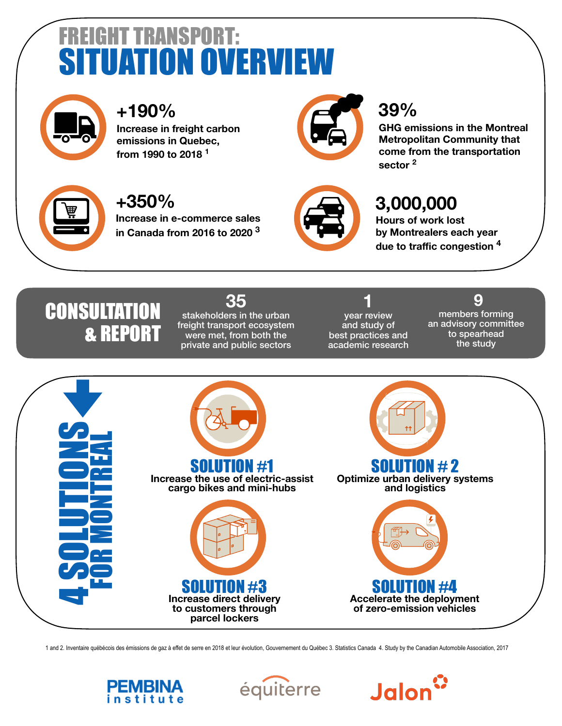# **EIGHT TRANSPORT: ATION OVERV**



## **+190%**

**Increase in freight carbon emissions in Quebec, from 1990 to 2018 <sup>1</sup>**



#### **39%**

**GHG emissions in the Montreal Metropolitan Community that come from the transportation sector 2**



#### **+350%**

**Increase in e-commerce sales in Canada from 2016 to 2020 3**



### **3,000,000**

**Hours of work lost by Montrealers each year due to traffic congestion 4** 

## **CONSULTATION** & REPORT

#### **35**  stakeholders in the urban freight transport ecosystem were met, from both the private and public sectors

**1**  year review and study of best practices and academic research

 **9** members forming an advisory committee to spearhead the study



1 and 2. Inventaire québécois des émissions de gaz à effet de serre en 2018 et leur évolution, Gouvernement du Québec 3. Statistics Canada 4. Study by the Canadian Automobile Association, 2017